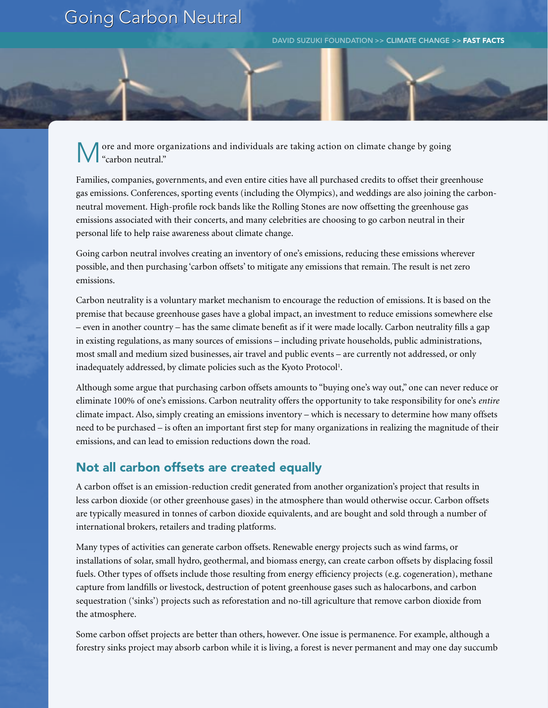## **Going Carbon Neutral**

DAVID SUZUKI FOUNDATION >> CLIMATE CHANGE >> FAST FACTS

ore and more organizations and individuals are taking action on climate change by going "carbon neutral."

Families, companies, governments, and even entire cities have all purchased credits to offset their greenhouse gas emissions. Conferences, sporting events (including the Olympics), and weddings are also joining the carbonneutral movement. High-profile rock bands like the Rolling Stones are now offsetting the greenhouse gas emissions associated with their concerts, and many celebrities are choosing to go carbon neutral in their personal life to help raise awareness about climate change.

Going carbon neutral involves creating an inventory of one's emissions, reducing these emissions wherever possible, and then purchasing 'carbon offsets' to mitigate any emissions that remain. The result is net zero emissions.

Carbon neutrality is a voluntary market mechanism to encourage the reduction of emissions. It is based on the premise that because greenhouse gases have a global impact, an investment to reduce emissions somewhere else – even in another country – has the same climate benefit as if it were made locally. Carbon neutrality fills a gap in existing regulations, as many sources of emissions – including private households, public administrations, most small and medium sized businesses, air travel and public events – are currently not addressed, or only inadequately addressed, by climate policies such as the Kyoto Protocol<sup>1</sup>.

Although some argue that purchasing carbon offsets amounts to "buying one's way out," one can never reduce or eliminate 100% of one's emissions. Carbon neutrality offers the opportunity to take responsibility for one's *entire* climate impact. Also, simply creating an emissions inventory – which is necessary to determine how many offsets need to be purchased – is often an important first step for many organizations in realizing the magnitude of their emissions, and can lead to emission reductions down the road.

## Not all carbon offsets are created equally

A carbon offset is an emission-reduction credit generated from another organization's project that results in less carbon dioxide (or other greenhouse gases) in the atmosphere than would otherwise occur. Carbon offsets are typically measured in tonnes of carbon dioxide equivalents, and are bought and sold through a number of international brokers, retailers and trading platforms.

Many types of activities can generate carbon offsets. Renewable energy projects such as wind farms, or installations of solar, small hydro, geothermal, and biomass energy, can create carbon offsets by displacing fossil fuels. Other types of offsets include those resulting from energy efficiency projects (e.g. cogeneration), methane capture from landfills or livestock, destruction of potent greenhouse gases such as halocarbons, and carbon sequestration ('sinks') projects such as reforestation and no-till agriculture that remove carbon dioxide from the atmosphere.

Some carbon offset projects are better than others, however. One issue is permanence. For example, although a forestry sinks project may absorb carbon while it is living, a forest is never permanent and may one day succumb